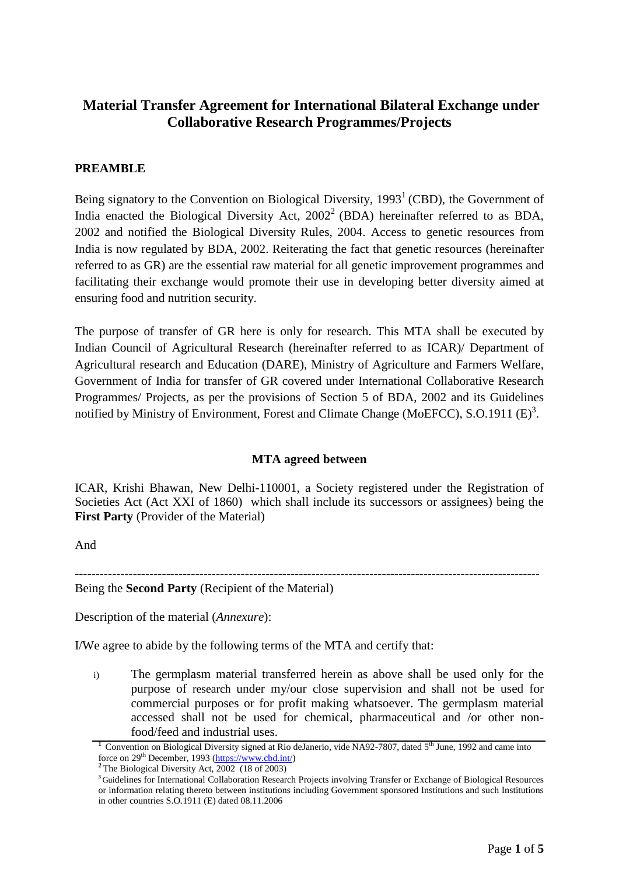# **Material Transfer Agreement for International Bilateral Exchange under Collaborative Research Programmes/Projects**

## **PREAMBLE**

Being signatory to the Convention on Biological Diversity,  $1993<sup>1</sup>$  (CBD), the Government of India enacted the Biological Diversity Act,  $2002^2$  (BDA) hereinafter referred to as BDA, 2002 and notified the Biological Diversity Rules, 2004. Access to genetic resources from India is now regulated by BDA, 2002. Reiterating the fact that genetic resources (hereinafter referred to as GR) are the essential raw material for all genetic improvement programmes and facilitating their exchange would promote their use in developing better diversity aimed at ensuring food and nutrition security.

The purpose of transfer of GR here is only for research. This MTA shall be executed by Indian Council of Agricultural Research (hereinafter referred to as ICAR)/ Department of Agricultural research and Education (DARE), Ministry of Agriculture and Farmers Welfare, Government of India for transfer of GR covered under International Collaborative Research Programmes/ Projects, as per the provisions of Section 5 of BDA, 2002 and its Guidelines notified by Ministry of Environment, Forest and Climate Change (MoEFCC), S.O.1911 (E)<sup>3</sup>.

## **MTA agreed between**

ICAR, Krishi Bhawan, New Delhi-110001, a Society registered under the Registration of Societies Act (Act XXI of 1860) which shall include its successors or assignees) being the **First Party** (Provider of the Material)

And

---------------------------------------------------------------------------------------------------------------- Being the **Second Party** (Recipient of the Material)

Description of the material (*Annexure*):

I/We agree to abide by the following terms of the MTA and certify that:

i) The germplasm material transferred herein as above shall be used only for the purpose of research under my/our close supervision and shall not be used for commercial purposes or for profit making whatsoever. The germplasm material accessed shall not be used for chemical, pharmaceutical and /or other nonfood/feed and industrial uses.

<sup>&</sup>lt;sup>1</sup> Convention on Biological Diversity signed at Rio deJanerio, vide NA92-7807, dated 5<sup>th</sup> June, 1992 and came into force on 29<sup>th</sup> December, 1993 [\(https://www.cbd.int/\)](https://www.cbd.int/)

**<sup>2</sup>** The Biological Diversity Act, 2002 (18 of 2003)

**<sup>3</sup>** Guidelines for International Collaboration Research Projects involving Transfer or Exchange of Biological Resources or information relating thereto between institutions including Government sponsored Institutions and such Institutions in other countries S.O.1911 (E) dated 08.11.2006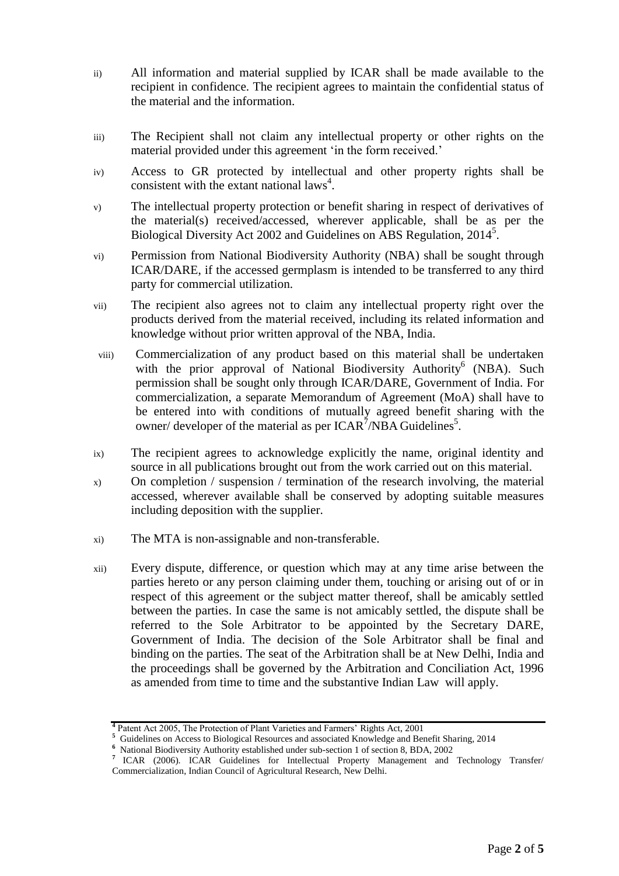- ii) All information and material supplied by ICAR shall be made available to the recipient in confidence. The recipient agrees to maintain the confidential status of the material and the information.
- iii) The Recipient shall not claim any intellectual property or other rights on the material provided under this agreement 'in the form received.'
- iv) Access to GR protected by intellectual and other property rights shall be consistent with the extant national laws<sup>4</sup>.
- v) The intellectual property protection or benefit sharing in respect of derivatives of the material(s) received/accessed, wherever applicable, shall be as per the Biological Diversity Act 2002 and Guidelines on ABS Regulation, 2014<sup>5</sup> .
- vi) Permission from National Biodiversity Authority (NBA) shall be sought through ICAR/DARE, if the accessed germplasm is intended to be transferred to any third party for commercial utilization.
- vii) The recipient also agrees not to claim any intellectual property right over the products derived from the material received, including its related information and knowledge without prior written approval of the NBA, India.
- viii) Commercialization of any product based on this material shall be undertaken with the prior approval of National Biodiversity Authority<sup>6</sup> (NBA). Such permission shall be sought only through ICAR/DARE, Government of India. For commercialization, a separate Memorandum of Agreement (MoA) shall have to be entered into with conditions of mutually agreed benefit sharing with the owner/ developer of the material as per  $ICAR^7/NBA$  Guidelines<sup>5</sup>.
- ix) The recipient agrees to acknowledge explicitly the name, original identity and source in all publications brought out from the work carried out on this material.
- x) On completion / suspension / termination of the research involving, the material accessed, wherever available shall be conserved by adopting suitable measures including deposition with the supplier.
- xi) The MTA is non-assignable and non-transferable.
- xii) Every dispute, difference, or question which may at any time arise between the parties hereto or any person claiming under them, touching or arising out of or in respect of this agreement or the subject matter thereof, shall be amicably settled between the parties. In case the same is not amicably settled, the dispute shall be referred to the Sole Arbitrator to be appointed by the Secretary DARE, Government of India. The decision of the Sole Arbitrator shall be final and binding on the parties. The seat of the Arbitration shall be at New Delhi, India and the proceedings shall be governed by the Arbitration and Conciliation Act, 1996 as amended from time to time and the substantive Indian Law will apply.

**<sup>4</sup>** Patent Act 2005, The Protection of Plant Varieties and Farmers' Rights Act, 2001

<sup>&</sup>lt;sup>5</sup> Guidelines on Access to Biological Resources and associated Knowledge and Benefit Sharing, 2014

**<sup>6</sup>** National Biodiversity Authority established under sub-section 1 of section 8, BDA, 2002

**<sup>7</sup>** ICAR (2006). ICAR Guidelines for Intellectual Property Management and Technology Transfer/ Commercialization, Indian Council of Agricultural Research, New Delhi.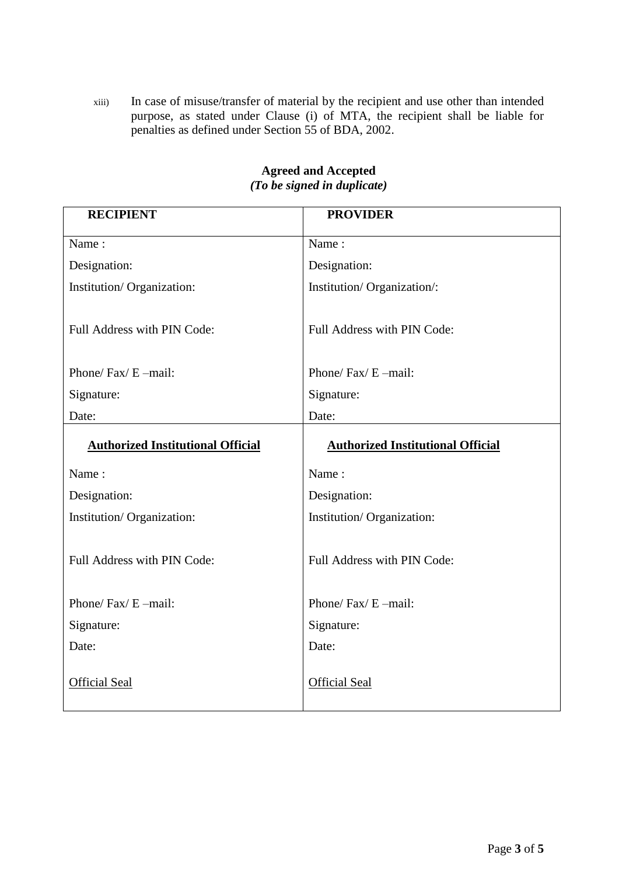xiii) In case of misuse/transfer of material by the recipient and use other than intended purpose, as stated under Clause (i) of MTA, the recipient shall be liable for penalties as defined under Section 55 of BDA, 2002.

| <b>RECIPIENT</b>                           | <b>PROVIDER</b>                            |
|--------------------------------------------|--------------------------------------------|
| Name:                                      | Name:                                      |
| Designation:                               | Designation:                               |
| Institution/Organization:                  | Institution/Organization/:                 |
| Full Address with PIN Code:                | Full Address with PIN Code:                |
| Phone/ $\text{Fax}/\text{E}-\text{mail}$ : | Phone/ $\text{Fax}/\text{E}-\text{mail}$ : |
| Signature:                                 | Signature:                                 |
| Date:                                      | Date:                                      |
| <b>Authorized Institutional Official</b>   | <b>Authorized Institutional Official</b>   |
| Name:                                      | Name:                                      |
| Designation:                               | Designation:                               |
| Institution/Organization:                  | Institution/Organization:                  |
| Full Address with PIN Code:                | Full Address with PIN Code:                |
| Phone/ $\text{Fax}/\text{E}-\text{mail}$ : | Phone/ $\text{Fax}/\text{E}-\text{mail}$ : |
| Signature:                                 | Signature:                                 |
| Date:                                      | Date:                                      |
| <b>Official Seal</b>                       | <b>Official Seal</b>                       |

## **Agreed and Accepted**  *(To be signed in duplicate)*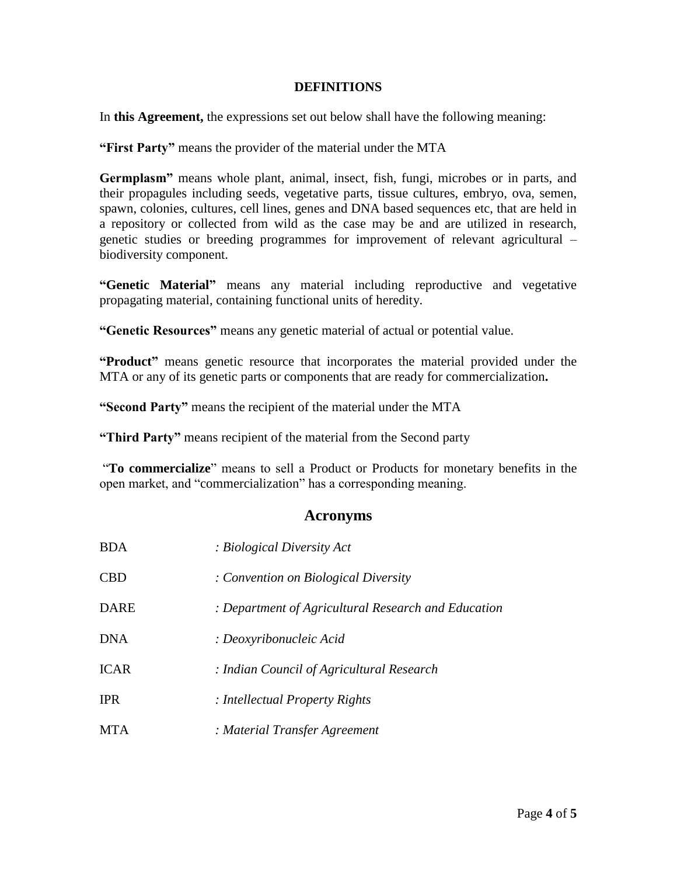#### **DEFINITIONS**

In **this Agreement,** the expressions set out below shall have the following meaning:

**"First Party"** means the provider of the material under the MTA

**Germplasm"** means whole plant, animal, insect, fish, fungi, microbes or in parts, and their propagules including seeds, vegetative parts, tissue cultures, embryo, ova, semen, spawn, colonies, cultures, cell lines, genes and DNA based sequences etc, that are held in a repository or collected from wild as the case may be and are utilized in research, genetic studies or breeding programmes for improvement of relevant agricultural – biodiversity component.

**"Genetic Material"** means any material including reproductive and vegetative propagating material, containing functional units of heredity.

**"Genetic Resources"** means any genetic material of actual or potential value.

**"Product"** means genetic resource that incorporates the material provided under the MTA or any of its genetic parts or components that are ready for commercialization**.**

**"Second Party"** means the recipient of the material under the MTA

**"Third Party"** means recipient of the material from the Second party

"**To commercialize**" means to sell a Product or Products for monetary benefits in the open market, and "commercialization" has a corresponding meaning.

## **Acronyms**

| <b>BDA</b>  | : Biological Diversity Act                          |
|-------------|-----------------------------------------------------|
| <b>CBD</b>  | : Convention on Biological Diversity                |
| <b>DARE</b> | : Department of Agricultural Research and Education |
| <b>DNA</b>  | : Deoxyribonucleic Acid                             |
| <b>ICAR</b> | : Indian Council of Agricultural Research           |
| <b>IPR</b>  | : Intellectual Property Rights                      |
| <b>MTA</b>  | : Material Transfer Agreement                       |